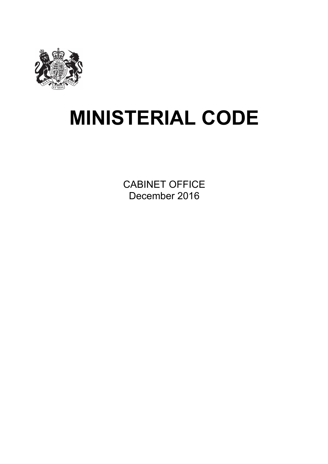

# **MINISTERIAL CODE**

CABINET OFFICE December 2016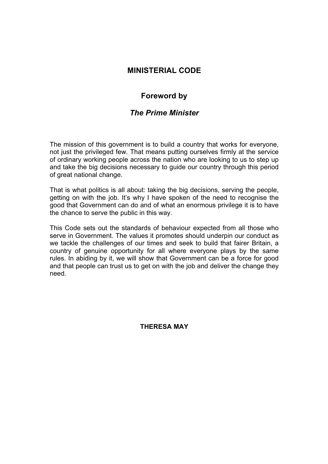# **MINISTERIAL CODE**

# **Foreword by**

# *The Prime Minister*

 The mission of this government is to build a country that works for everyone, not just the privileged few. That means putting ourselves firmly at the service of ordinary working people across the nation who are looking to us to step up and take the big decisions necessary to guide our country through this period of great national change.

 That is what politics is all about: taking the big decisions, serving the people, getting on with the job. It's why I have spoken of the need to recognise the good that Government can do and of what an enormous privilege it is to have the chance to serve the public in this way.

 This Code sets out the standards of behaviour expected from all those who serve in Government. The values it promotes should underpin our conduct as we tackle the challenges of our times and seek to build that fairer Britain, a country of genuine opportunity for all where everyone plays by the same rules. In abiding by it, we will show that Government can be a force for good and that people can trust us to get on with the job and deliver the change they need.

 **THERESA MAY**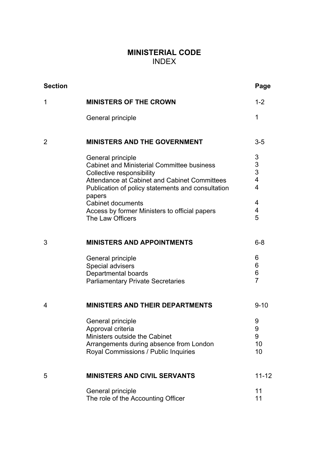# **MINISTERIAL CODE**  INDEX

| <b>Section</b> |                                                                                                                                                                                                                                                                                                                     | Page                                                       |
|----------------|---------------------------------------------------------------------------------------------------------------------------------------------------------------------------------------------------------------------------------------------------------------------------------------------------------------------|------------------------------------------------------------|
| 1              | <b>MINISTERS OF THE CROWN</b>                                                                                                                                                                                                                                                                                       | $1 - 2$                                                    |
|                | General principle                                                                                                                                                                                                                                                                                                   | 1                                                          |
| $\overline{2}$ | <b>MINISTERS AND THE GOVERNMENT</b>                                                                                                                                                                                                                                                                                 | $3-5$                                                      |
|                | General principle<br><b>Cabinet and Ministerial Committee business</b><br>Collective responsibility<br>Attendance at Cabinet and Cabinet Committees<br>Publication of policy statements and consultation<br>papers<br><b>Cabinet documents</b><br>Access by former Ministers to official papers<br>The Law Officers | 3<br>3<br>3<br>$\overline{\mathbf{4}}$<br>4<br>4<br>4<br>5 |
| 3              | <b>MINISTERS AND APPOINTMENTS</b>                                                                                                                                                                                                                                                                                   | $6 - 8$                                                    |
|                | General principle<br>Special advisers<br>Departmental boards<br><b>Parliamentary Private Secretaries</b>                                                                                                                                                                                                            | 6<br>6<br>$\,6$<br>$\overline{7}$                          |
| 4              | <b>MINISTERS AND THEIR DEPARTMENTS</b>                                                                                                                                                                                                                                                                              | $9 - 10$                                                   |
|                | General principle<br>Approval criteria<br>Ministers outside the Cabinet<br>Arrangements during absence from London<br>Royal Commissions / Public Inquiries                                                                                                                                                          | 9<br>$\mathbf{Q}$<br>9<br>10<br>10                         |
| 5              | <b>MINISTERS AND CIVIL SERVANTS</b>                                                                                                                                                                                                                                                                                 | 11-12                                                      |
|                | General principle<br>The role of the Accounting Officer                                                                                                                                                                                                                                                             | 11<br>11                                                   |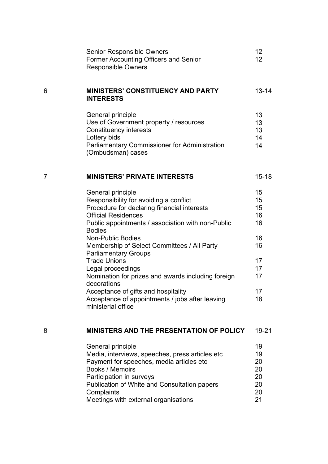|   | <b>Senior Responsible Owners</b><br>Former Accounting Officers and Senior<br><b>Responsible Owners</b>                                                                                                                                                                 | 12<br>12 <sup>2</sup>                        |
|---|------------------------------------------------------------------------------------------------------------------------------------------------------------------------------------------------------------------------------------------------------------------------|----------------------------------------------|
| 6 | <b>MINISTERS' CONSTITUENCY AND PARTY</b><br><b>INTERESTS</b>                                                                                                                                                                                                           | $13 - 14$                                    |
|   | General principle<br>Use of Government property / resources<br>Constituency interests<br>Lottery bids<br><b>Parliamentary Commissioner for Administration</b><br>(Ombudsman) cases                                                                                     | 13<br>13<br>13<br>14<br>14                   |
| 7 | <b>MINISTERS' PRIVATE INTERESTS</b>                                                                                                                                                                                                                                    | $15 - 18$                                    |
|   | General principle<br>Responsibility for avoiding a conflict<br>Procedure for declaring financial interests<br><b>Official Residences</b><br>Public appointments / association with non-Public<br><b>Bodies</b>                                                         | 15<br>15<br>15<br>16<br>16                   |
|   | <b>Non-Public Bodies</b><br>Membership of Select Committees / All Party                                                                                                                                                                                                | 16<br>16                                     |
|   | <b>Parliamentary Groups</b><br><b>Trade Unions</b><br>Legal proceedings<br>Nomination for prizes and awards including foreign                                                                                                                                          | 17<br>17<br>17                               |
|   | decorations<br>Acceptance of gifts and hospitality<br>Acceptance of appointments / jobs after leaving<br>ministerial office                                                                                                                                            | 17<br>18                                     |
| 8 | <b>MINISTERS AND THE PRESENTATION OF POLICY</b>                                                                                                                                                                                                                        | 19-21                                        |
|   | General principle<br>Media, interviews, speeches, press articles etc.<br>Payment for speeches, media articles etc<br>Books / Memoirs<br>Participation in surveys<br>Publication of White and Consultation papers<br>Complaints<br>Meetings with external organisations | 19<br>19<br>20<br>20<br>20<br>20<br>20<br>21 |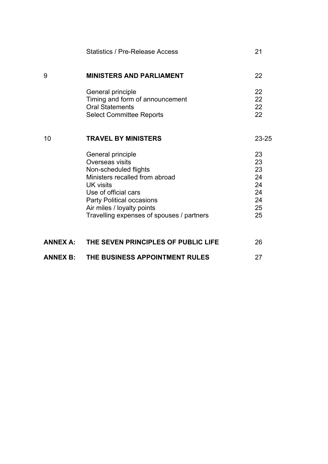<span id="page-4-0"></span>

|                 | <b>Statistics / Pre-Release Access</b>                                                                                                                                                                                                                     | 21                                                 |
|-----------------|------------------------------------------------------------------------------------------------------------------------------------------------------------------------------------------------------------------------------------------------------------|----------------------------------------------------|
| 9               | <b>MINISTERS AND PARLIAMENT</b>                                                                                                                                                                                                                            | 22                                                 |
|                 | General principle<br>Timing and form of announcement<br><b>Oral Statements</b><br><b>Select Committee Reports</b>                                                                                                                                          | 22<br>22<br>22<br>22                               |
| 10              | <b>TRAVEL BY MINISTERS</b>                                                                                                                                                                                                                                 | $23 - 25$                                          |
|                 | General principle<br>Overseas visits<br>Non-scheduled flights<br>Ministers recalled from abroad<br><b>UK visits</b><br>Use of official cars<br><b>Party Political occasions</b><br>Air miles / loyalty points<br>Travelling expenses of spouses / partners | 23<br>23<br>23<br>24<br>24<br>24<br>24<br>25<br>25 |
| <b>ANNEX A:</b> | THE SEVEN PRINCIPLES OF PUBLIC LIFE                                                                                                                                                                                                                        | 26                                                 |
| <b>ANNEX B:</b> | THE BUSINESS APPOINTMENT RULES                                                                                                                                                                                                                             | 27                                                 |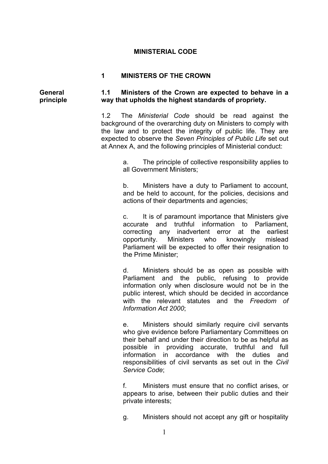#### **MINISTERIAL CODE**

#### **1 MINISTERS OF THE CROWN**

 **General 1.1 Ministers of the Crown are expected to behave in a principle way that upholds the highest standards of propriety.** 

> 1.2 The *Ministerial Code* should be read against the background of the overarching duty on Ministers to comply with the law and to protect the integrity of public life. They are expected to observe the *Seven Principles of Public Life* set out at Annex A, and the following principles of Ministerial conduct:

> > $\mathbf{a}$  all Government Ministers; The principle of collective responsibility applies to

> > b. Ministers have a duty to Parliament to account, and be held to account, for the policies, decisions and actions of their departments and agencies;

> > $\mathbf{c}$  accurate and truthful information to Parliament, correcting any inadvertent error at the earliest knowinaly Parliament will be expected to offer their resignation to the Prime Minister; It is of paramount importance that Ministers give opportunity. Ministers who knowingly mislead

> > d. Ministers should be as open as possible with Parliament and the public, refusing to provide information only when disclosure would not be in the public interest, which should be decided in accordance with the relevant statutes and the *Freedom of Information Act 2000*;

> > e. Ministers should similarly require civil servants who give evidence before Parliamentary Committees on their behalf and under their direction to be as helpful as possible in providing accurate, truthful and full information in accordance with the duties and responsibilities of civil servants as set out in the *Civil Service Code*;

> > f. Ministers must ensure that no conflict arises, or appears to arise, between their public duties and their private interests;

> > g. Ministers should not accept any gift or hospitality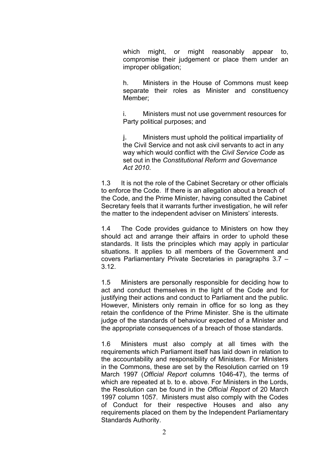which compromise their judgement or place them under an might, or might reasonably appear to, improper obligation;

 h. Ministers in the House of Commons must keep Member: separate their roles as Minister and constituency

Member;<br>i. Ministers must not use government resources for Party political purposes; and

 **j.** Ministers must uphold the political impartiality of the Civil Service and not ask civil servants to act in any way which would conflict with the *Civil Service Code* as set out in the *Constitutional Reform and Governance Act 2010*.

 $1.3$  to enforce the Code. If there is an allegation about a breach of Secretary feels that it warrants further investigation, he will refer the matter to the independent adviser on Ministers' interests. It is not the role of the Cabinet Secretary or other officials the Code, and the Prime Minister, having consulted the Cabinet

 $14$  should act and arrange their affairs in order to uphold these standards. It lists the principles which may apply in particular situations. It applies to all members of the Government and covers Parliamentary Private Secretaries in paragraphs 3.7 – The Code provides guidance to Ministers on how they 3.12.

 1.5 Ministers are personally responsible for deciding how to act and conduct themselves in the light of the Code and for justifying their actions and conduct to Parliament and the public. However, Ministers only remain in office for so long as they retain the confidence of the Prime Minister. She is the ultimate judge of the standards of behaviour expected of a Minister and the appropriate consequences of a breach of those standards.

 1.6 Ministers must also comply at all times with the requirements which Parliament itself has laid down in relation to the accountability and responsibility of Ministers. For Ministers in the Commons, these are set by the Resolution carried on 19 March 1997 (*Official Report* columns 1046-47), the terms of which are repeated at b. to e. above. For Ministers in the Lords, the Resolution can be found in the *Official Report* of 20 March 1997 column 1057. Ministers must also comply with the Codes of Conduct for their respective Houses and also any requirements placed on them by the Independent Parliamentary Standards Authority.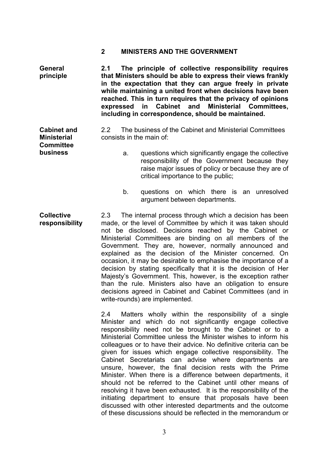**2 MINISTERS AND THE GOVERNMENT**

 $2.1$  **that Ministers should be able to express their views frankly in the expectation that they can argue freely in private while maintaining a united front when decisions have been reached. This in turn requires that the privacy of opinions** expressed in  **including in correspondence, should be maintained. General principle 2.1 The principle of collective responsibility requires Cabinet and Ministerial Committees,** 

**Committee business** 

 consists in the main of: **Cabinet and Ministerial**  The business of the Cabinet and Ministerial Committees

- a. questions which significantly engage the collective responsibility of the Government because they raise major issues of policy or because they are of critical importance to the public;
	- b. questions on which there is an unresolved argument between departments.

 2.3 The internal process through which a decision has been made, or the level of Committee by which it was taken should not be disclosed. Decisions reached by the Cabinet or Ministerial Committees are binding on all members of the Government. They are, however, normally announced and explained as the decision of the Minister concerned. On occasion, it may be desirable to emphasise the importance of a decision by stating specifically that it is the decision of Her Majesty's Government. This, however, is the exception rather than the rule. Ministers also have an obligation to ensure decisions agreed in Cabinet and Cabinet Committees (and in **Collective responsibility**  write-rounds) are implemented.

> 2.4 Matters wholly within the responsibility of a single Minister and which do not significantly engage collective responsibility need not be brought to the Cabinet or to a Ministerial Committee unless the Minister wishes to inform his colleagues or to have their advice. No definitive criteria can be given for issues which engage collective responsibility. The Cabinet Secretariats can advise where departments are unsure, however, the final decision rests with the Prime Minister. When there is a difference between departments, it should not be referred to the Cabinet until other means of resolving it have been exhausted. It is the responsibility of the initiating department to ensure that proposals have been discussed with other interested departments and the outcome of these discussions should be reflected in the memorandum or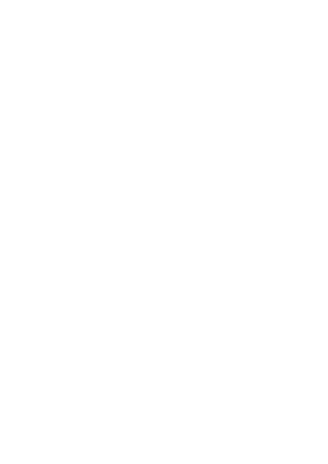|   | <b>Senior Responsible Owners</b><br><b>Former Accounting Officers and Senior</b><br><b>Responsible Owners</b>                                                                                                                                                                                                                                                                                                                                                                                                                                                                  | 12<br>12                                                             |
|---|--------------------------------------------------------------------------------------------------------------------------------------------------------------------------------------------------------------------------------------------------------------------------------------------------------------------------------------------------------------------------------------------------------------------------------------------------------------------------------------------------------------------------------------------------------------------------------|----------------------------------------------------------------------|
| 6 | <b>MINISTERS' CONSTITUENCIAND PARTO</b><br><b>INTERESTS</b>                                                                                                                                                                                                                                                                                                                                                                                                                                                                                                                    | 13-14                                                                |
|   | <b>General principle</b><br>Use of Government property / resources<br><b>Constituency interests</b><br><b>Lottery bids</b><br><b>Parliamentary Commissioner for Administration</b><br>(Ombudsman) cases                                                                                                                                                                                                                                                                                                                                                                        | 13<br>13<br>13<br>14<br>14                                           |
| 7 | <b>MINISTERS' PRIVATE INTERESTS</b>                                                                                                                                                                                                                                                                                                                                                                                                                                                                                                                                            | $15 - 18$                                                            |
|   | <b>General principle</b><br>Responsibility for avoiding a conflict<br>Procedure for declaring financial interests<br><b>Official Residences</b><br>Public appointments / association with non-Public<br><b>Bodies</b><br><b>Non-Public Bodies</b><br><b>Membership of Select Committees / All Party</b><br><b>Parliamentary Groups</b><br><b>Trade Unions</b><br><b>Legal proceedings</b><br>Nomination for prizes and awards including foreign<br>decorations<br>Acceptance of gifts and hospitality<br>Acceptance of appointments / jobs after leaving<br>ministerial office | 15<br>15<br>15<br>16<br>16<br>16<br>16<br>17<br>17<br>17<br>17<br>18 |
| 8 | MINISTERS AND THE PRESENTATION OF POLICO                                                                                                                                                                                                                                                                                                                                                                                                                                                                                                                                       | 19-21                                                                |
|   | <b>General principle</b><br>Media, interviews, speeches, press articles etc<br>Payment for speeches, media articles etc<br><b>Books / Memoirs</b><br><b>Participation in surveys</b><br><b>Publication of White and Consultation papers</b><br><b>Complaints</b><br><b>Meetings with external organisations</b>                                                                                                                                                                                                                                                                | 19<br>19<br>20<br>20<br>20<br>20<br>20<br>21                         |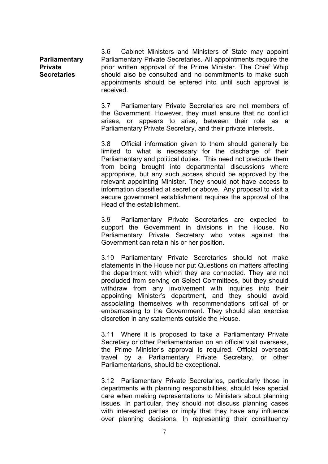3.6 Cabinet Ministers and Ministers of State may appoint Parliamentary Private Secretaries. All appointments require the prior written approval of the Prime Minister. The Chief Whip should also be consulted and no commitments to make such appointments should be entered into until such approval is received.

**Parliamentary**

**Private Secretaries** 

> 3.7 Parliamentary Private Secretaries are not members of the Government. However, they must ensure that no conflict arises, or appears to arise, between their role as a Parliamentary Private Secretary, and their private interests.

> 3.8 Official information given to them should generally be limited to what is necessary for the discharge of their Parliamentary and political duties. This need not preclude them from being brought into departmental discussions where appropriate, but any such access should be approved by the relevant appointing Minister. They should not have access to information classified at secret or above. Any proposal to visit a secure government establishment requires the approval of the Head of the establishment.

> 3.9 Parliamentary Private Secretaries are expected to support the Government in divisions in the House. No Parliamentary Private Secretary who votes against the Government can retain his or her position.

> 3.10 Parliamentary Private Secretaries should not make statements in the House nor put Questions on matters affecting the department with which they are connected. They are not precluded from serving on Select Committees, but they should withdraw from any involvement with inquiries into their appointing Minister's department, and they should avoid associating themselves with recommendations critical of or embarrassing to the Government. They should also exercise discretion in any statements outside the House.

> 3.11 Where it is proposed to take a Parliamentary Private Secretary or other Parliamentarian on an official visit overseas, the Prime Minister's approval is required. Official overseas travel by a Parliamentary Private Secretary, or other Parliamentarians, should be exceptional.

> 3.12 Parliamentary Private Secretaries, particularly those in departments with planning responsibilities, should take special care when making representations to Ministers about planning issues. In particular, they should not discuss planning cases with interested parties or imply that they have any influence over planning decisions. In representing their constituency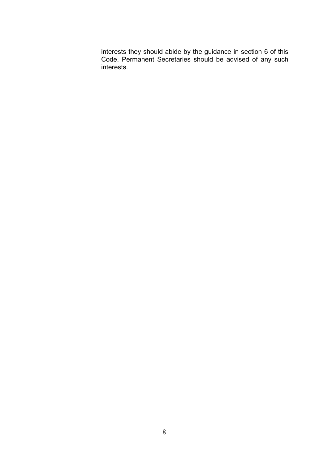interests they should abide by the guidance in section 6 of this Code. Permanent Secretaries should be advised of any such interests.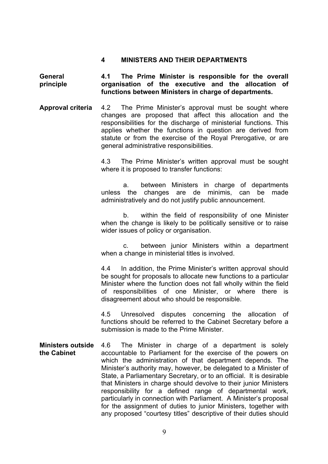#### **4 MINISTERS AND THEIR DEPARTMENTS**

 **organisation of the executive and the allocation of functions between Ministers in charge of departments. General principle 4.1 The Prime Minister is responsible for the overall** 

 4.2 The Prime Minister's approval must be sought where changes are proposed that affect this allocation and the responsibilities for the discharge of ministerial functions. This applies whether the functions in question are derived from statute or from the exercise of the Royal Prerogative, or are **Approval criteria**  general administrative responsibilities.

> 4.3 The Prime Minister's written approval must be sought where it is proposed to transfer functions:

> unless the changes are de minimis, can be made administratively and do not justify public announcement. a. between Ministers in charge of departments

> when the change is likely to be politically sensitive or to raise wider issues of policy or organisation. b. within the field of responsibility of one Minister

> when a change in ministerial titles is involved. c. between junior Ministers within a department

> 4.4 In addition, the Prime Minister's written approval should be sought for proposals to allocate new functions to a particular Minister where the function does not fall wholly within the field of responsibilities of one Minister, or where there is disagreement about who should be responsible.

> 4.5 Unresolved disputes concerning the allocation of functions should be referred to the Cabinet Secretary before a submission is made to the Prime Minister.

 **Ministers outside**  accountable to Parliament for the exercise of the powers on which the administration of that department depends. The Minister's authority may, however, be delegated to a Minister of State, a Parliamentary Secretary, or to an official. It is desirable that Ministers in charge should devolve to their junior Ministers responsibility for a defined range of departmental work, particularly in connection with Parliament. A Minister's proposal for the assignment of duties to junior Ministers, together with any proposed "courtesy titles" descriptive of their duties should **the Cabinet**  4.6 The Minister in charge of a department is solely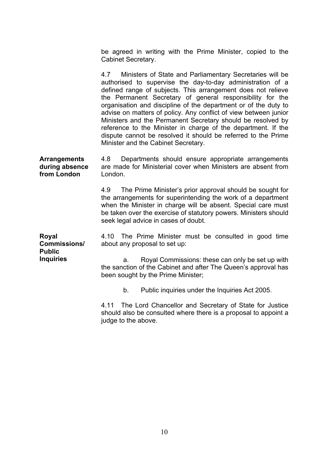be agreed in writing with the Prime Minister, copied to the Cabinet Secretary.

 4.7 Ministers of State and Parliamentary Secretaries will be authorised to supervise the day-to-day administration of a defined range of subjects. This arrangement does not relieve the Permanent Secretary of general responsibility for the organisation and discipline of the department or of the duty to advise on matters of policy. Any conflict of view between junior Ministers and the Permanent Secretary should be resolved by reference to the Minister in charge of the department. If the dispute cannot be resolved it should be referred to the Prime Minister and the Cabinet Secretary.

 4.8 Departments should ensure appropriate arrangements are made for Ministerial cover when Ministers are absent from **Arrangements during absence from London**  London.

> 4.9 The Prime Minister's prior approval should be sought for the arrangements for superintending the work of a department when the Minister in charge will be absent. Special care must be taken over the exercise of statutory powers. Ministers should seek legal advice in cases of doubt.

 4.10 The Prime Minister must be consulted in good time about any proposal to set up: **Royal Commissions/ Public** 

**Inquiries** 

 the sanction of the Cabinet and after The Queen's approval has been sought by the Prime Minister; a. Royal Commissions: these can only be set up with

b. Public inquiries under the Inquiries Act 2005.

 4.11 The Lord Chancellor and Secretary of State for Justice should also be consulted where there is a proposal to appoint a judge to the above.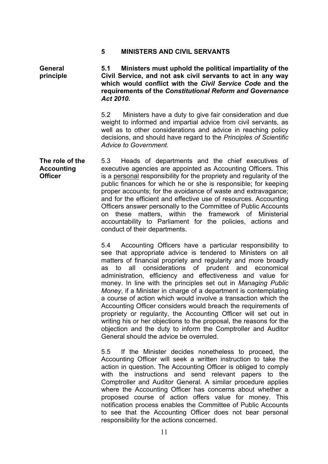**5 MINISTERS AND CIVIL SERVANTS**

 **5.1 Ministers must uphold the political impartiality of the Civil Service, and not ask civil servants to act in any way which would conflict with the** *Civil Service Code* **and the requirements of the** *Constitutional Reform and Governance*  **General principle**  *Act 2010***.** 

> 52 weight to informed and impartial advice from civil servants, as well as to other considerations and advice in reaching policy decisions, and should have regard to the *Principles of Scientific Advice to Government*. Ministers have a duty to give fair consideration and due

 **The role of the**  executive agencies are appointed as Accounting Officers. This is a personal responsibility for the propriety and regularity of the public finances for which he or she is responsible; for keeping proper accounts; for the avoidance of waste and extravagance; and for the efficient and effective use of resources. Accounting Officers answer personally to the Committee of Public Accounts on these matters, within the framework of Ministerial accountability to Parliament for the policies, actions and conduct of their departments. **Accounting Officer**  5.3 Heads of departments and the chief executives of

> 5.4 Accounting Officers have a particular responsibility to see that appropriate advice is tendered to Ministers on all matters of financial propriety and regularity and more broadly as to all considerations of prudent and economical administration, efficiency and effectiveness and value for money. In line with the principles set out in *Managing Public Money*, if a Minister in charge of a department is contemplating a course of action which would involve a transaction which the Accounting Officer considers would breach the requirements of propriety or regularity, the Accounting Officer will set out in writing his or her objections to the proposal, the reasons for the objection and the duty to inform the Comptroller and Auditor General should the advice be overruled.

> $5.5$  Accounting Officer will seek a written instruction to take the action in question. The Accounting Officer is obliged to comply with the instructions and send relevant papers to the where the Accounting Officer has concerns about whether a proposed course of action offers value for money. This notification process enables the Committee of Public Accounts to see that the Accounting Officer does not bear personal responsibility for the actions concerned. If the Minister decides nonetheless to proceed, the Comptroller and Auditor General. A similar procedure applies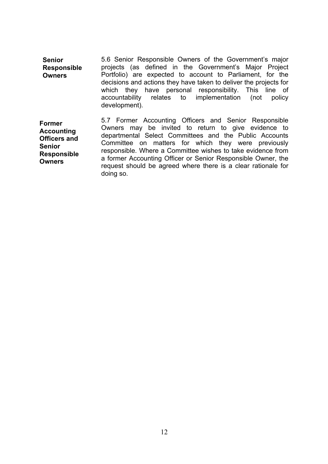<span id="page-16-0"></span> **Officers and**  5.6 Senior Responsible Owners of the Government's major projects (as defined in the Government's Major Project Portfolio) are expected to account to Parliament, for the decisions and actions they have taken to deliver the projects for which they have personal responsibility. This line of development). Owners may be invited to return to give evidence to departmental Select Committees and the Public Accounts Committee on matters for which they were previously responsible. Where a Committee wishes to take evidence from a former Accounting Officer or Senior Responsible Owner, the request should be agreed where there is a clear rationale for **Senior Responsible Owners Former Accounting Senior Responsible Owners**  accountability relates to implementation (not policy 5.7 Former Accounting Officers and Senior Responsible

doing so.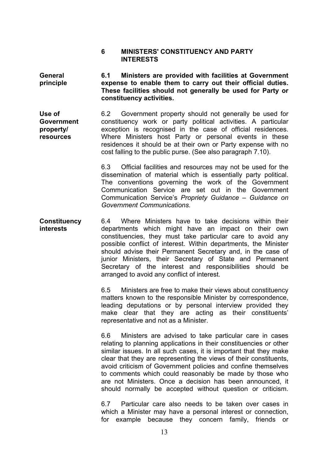#### **6 MINISTERS' CONSTITUENCY AND PARTY INTERESTS**

<span id="page-17-0"></span> **6.1 Ministers are provided with facilities at Government expense to enable them to carry out their official duties. These facilities should not generally be used for Party or General principle constituency activities.** 

 6.2 Government property should not generally be used for constituency work or party political activities. A particular exception is recognised in the case of official residences. Where Ministers host Party or personal events in these residences it should be at their own or Party expense with no cost falling to the public purse. (See also paragraph 7.10). **Use of Government property/ resources** 

> 63 dissemination of material which is essentially party political. The conventions governing the work of the Government Communication Service are set out in the Government Communication Service's *Propriety Guidance* – *Guidance on*  Official facilities and resources may not be used for the *Government Communications.*

6.4 departments which might have an impact on their own constituencies, they must take particular care to avoid any possible conflict of interest. Within departments, the Minister should advise their Permanent Secretary and, in the case of junior Ministers, their Secretary of State and Permanent Secretary of the interest and responsibilities should be arranged to avoid any conflict of interest. **Constituency interests**  Where Ministers have to take decisions within their

> 6.5 Ministers are free to make their views about constituency matters known to the responsible Minister by correspondence, leading deputations or by personal interview provided they make clear that they are acting as their constituents' representative and not as a Minister.

> 6.6 Ministers are advised to take particular care in cases relating to planning applications in their constituencies or other similar issues. In all such cases, it is important that they make clear that they are representing the views of their constituents, avoid criticism of Government policies and confine themselves to comments which could reasonably be made by those who are not Ministers. Once a decision has been announced, it should normally be accepted without question or criticism.

> 6.7 Particular care also needs to be taken over cases in which a Minister may have a personal interest or connection, for example because they concern family, friends or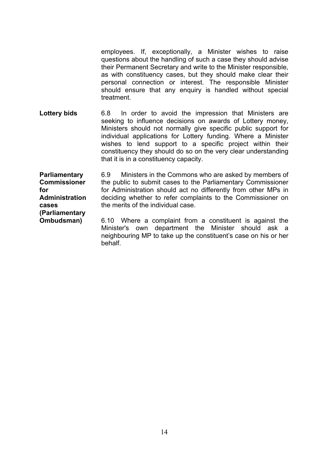<span id="page-18-0"></span> employees. If, exceptionally, a Minister wishes to raise questions about the handling of such a case they should advise their Permanent Secretary and write to the Minister responsible, as with constituency cases, but they should make clear their personal connection or interest. The responsible Minister should ensure that any enquiry is handled without special treatment.

 $6.8$  seeking to influence decisions on awards of Lottery money, Ministers should not normally give specific public support for individual applications for Lottery funding. Where a Minister wishes to lend support to a specific project within their constituency they should do so on the very clear understanding that it is in a constituency capacity. **Lottery bids** 6.8 In order to avoid the impression that Ministers are

**(Parliamentary** 

 **Parliamentary** 6.9 Ministers in the Commons who are asked by members of **Commissioner** the public to submit cases to the Parliamentary Commissioner **for** *for* **for Administration should act no differently from other MPs in Administration** deciding whether to refer complaints to the Commissioner on **cases the merits of the individual case.** 

**Ombudsman)** 6.10 Where a complaint from a constituent is against the Minister's own department the Minister should ask a neighbouring MP to take up the constituent's case on his or her behalf.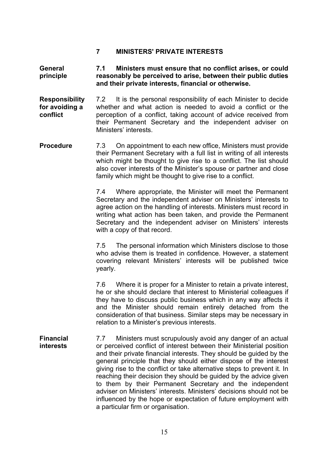**7 MINISTERS' PRIVATE INTERESTS**

<span id="page-19-0"></span> **General 7.1 Ministers must ensure that no conflict arises, or could principle reasonably be perceived to arise, between their public duties and their private interests, financial or otherwise.** 

for avoiding a  $7.2$  **for avoiding a** whether and what action is needed to avoid a conflict or the **conflict** perception of a conflict, taking account of advice received from their Permanent Secretary and the independent adviser on Ministers' interests. **Responsibility** 7.2 It is the personal responsibility of each Minister to decide

**Procedure** 7.3 On appointment to each new office, Ministers must provide their Permanent Secretary with a full list in writing of all interests which might be thought to give rise to a conflict. The list should also cover interests of the Minister's spouse or partner and close family which might be thought to give rise to a conflict.

> 74 Secretary and the independent adviser on Ministers' interests to agree action on the handling of interests. Ministers must record in writing what action has been taken, and provide the Permanent Secretary and the independent adviser on Ministers' interests with a copy of that record. Where appropriate, the Minister will meet the Permanent

> $7.5$  who advise them is treated in confidence. However, a statement covering relevant Ministers' interests will be published twice yearly. The personal information which Ministers disclose to those

> $7.6$  he or she should declare that interest to Ministerial colleagues if they have to discuss public business which in any way affects it and the Minister should remain entirely detached from the consideration of that business. Similar steps may be necessary in relation to a Minister's previous interests. Where it is proper for a Minister to retain a private interest,

 **Financial** 7.7 Ministers must scrupulously avoid any danger of an actual **interests** or perceived conflict of interest between their Ministerial position and their private financial interests. They should be guided by the general principle that they should either dispose of the interest giving rise to the conflict or take alternative steps to prevent it. In reaching their decision they should be guided by the advice given to them by their Permanent Secretary and the independent adviser on Ministers' interests. Ministers' decisions should not be influenced by the hope or expectation of future employment with a particular firm or organisation.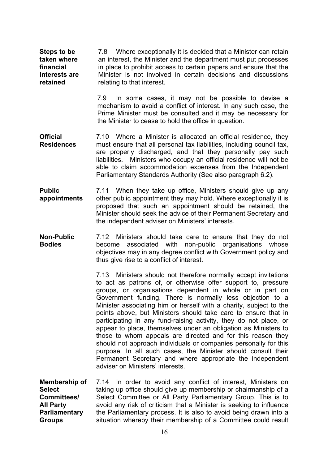<span id="page-20-0"></span> **Steps to be taken where interests are**  7.8 an interest, the Minister and the department must put processes in place to prohibit access to certain papers and ensure that the Minister is not involved in certain decisions and discussions relating to that interest. **financial retained**  Where exceptionally it is decided that a Minister can retain

> 7.9 mechanism to avoid a conflict of interest. In any such case, the Prime Minister must be consulted and it may be necessary for the Minister to cease to hold the office in question. In some cases, it may not be possible to devise a

- 7.10 Where a Minister is allocated an official residence, they must ensure that all personal tax liabilities, including council tax, are properly discharged, and that they personally pay such liabilities. Ministers who occupy an official residence will not be able to claim accommodation expenses from the Independent Parliamentary Standards Authority (See also paragraph 6.2). **Official Residences**
- 7 11 other public appointment they may hold. Where exceptionally it is proposed that such an appointment should be retained, the Minister should seek the advice of their Permanent Secretary and the independent adviser on Ministers' interests. **Public appointments**  When they take up office, Ministers should give up any
- 7.12 Ministers should take care to ensure that they do not become associated with non-public organisations whose objectives may in any degree conflict with Government policy and thus give rise to a conflict of interest. **Non-Public Bodies**

 7.13 Ministers should not therefore normally accept invitations to act as patrons of, or otherwise offer support to, pressure groups, or organisations dependent in whole or in part on Government funding. There is normally less objection to a Minister associating him or herself with a charity, subject to the points above, but Ministers should take care to ensure that in participating in any fund-raising activity, they do not place, or appear to place, themselves under an obligation as Ministers to those to whom appeals are directed and for this reason they should not approach individuals or companies personally for this purpose. In all such cases, the Minister should consult their Permanent Secretary and where appropriate the independent adviser on Ministers' interests.

 **All Party**   $7.14$  taking up office should give up membership or chairmanship of a Select Committee or All Party Parliamentary Group. This is to avoid any risk of criticism that a Minister is seeking to influence the Parliamentary process. It is also to avoid being drawn into a situation whereby their membership of a Committee could result **Membership of Select Committees/ Parliamentary Groups**  In order to avoid any conflict of interest, Ministers on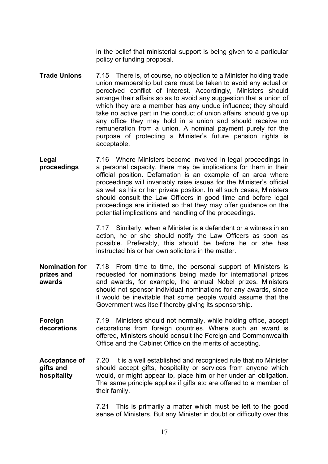in the belief that ministerial support is being given to a particular policy or funding proposal.

- <span id="page-21-0"></span> **Trade Unions** 7.15 There is, of course, no objection to a Minister holding trade union membership but care must be taken to avoid any actual or perceived conflict of interest. Accordingly, Ministers should arrange their affairs so as to avoid any suggestion that a union of which they are a member has any undue influence; they should take no active part in the conduct of union affairs, should give up any office they may hold in a union and should receive no remuneration from a union. A nominal payment purely for the purpose of protecting a Minister's future pension rights is acceptable.
- **Legal** 7.16 Where Ministers become involved in legal proceedings in **proceedings** a personal capacity, there may be implications for them in their official position. Defamation is an example of an area where proceedings will invariably raise issues for the Minister's official as well as his or her private position. In all such cases, Ministers should consult the Law Officers in good time and before legal proceedings are initiated so that they may offer guidance on the potential implications and handling of the proceedings.

 7.17 Similarly, when a Minister is a defendant or a witness in an action, he or she should notify the Law Officers as soon as possible. Preferably, this should be before he or she has instructed his or her own solicitors in the matter.

- **Nomination for** prizes and **Nomination for** 7.18 From time to time, the personal support of Ministers is **prizes and** requested for nominations being made for international prizes **awards** and awards, for example, the annual Nobel prizes. Ministers should not sponsor individual nominations for any awards, since it would be inevitable that some people would assume that the Government was itself thereby giving its sponsorship.
- **Foreign** 7.19 Ministers should not normally, while holding office, accept **decorations** decorations from foreign countries. Where such an award is offered, Ministers should consult the Foreign and Commonwealth Office and the Cabinet Office on the merits of accepting.
- gifts and **Acceptance of** 7.20 It is a well established and recognised rule that no Minister **gifts and** should accept gifts, hospitality or services from anyone which **hospitality** would, or might appear to, place him or her under an obligation. The same principle applies if gifts etc are offered to a member of their family.

 7.21 This is primarily a matter which must be left to the good sense of Ministers. But any Minister in doubt or difficulty over this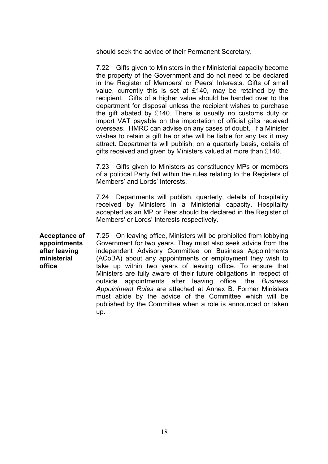<span id="page-22-0"></span>should seek the advice of their Permanent Secretary.

 7.22 Gifts given to Ministers in their Ministerial capacity become the property of the Government and do not need to be declared in the Register of Members' or Peers' Interests. Gifts of small value, currently this is set at £140, may be retained by the recipient. Gifts of a higher value should be handed over to the department for disposal unless the recipient wishes to purchase the gift abated by £140. There is usually no customs duty or import VAT payable on the importation of official gifts received overseas. HMRC can advise on any cases of doubt. If a Minister wishes to retain a gift he or she will be liable for any tax it may attract. Departments will publish, on a quarterly basis, details of gifts received and given by Ministers valued at more than £140.

 7.23 Gifts given to Ministers as constituency MPs or members of a political Party fall within the rules relating to the Registers of Members' and Lords' Interests.

 7.24 Departments will publish, quarterly, details of hospitality received by Ministers in a Ministerial capacity. Hospitality accepted as an MP or Peer should be declared in the Register of Members' or Lords' Interests respectively.

 **after leaving** 7.25 On leaving office, Ministers will be prohibited from lobbying Government for two years. They must also seek advice from the independent Advisory Committee on Business Appointments (ACoBA) about any appointments or employment they wish to take up within two years of leaving office. To ensure that Ministers are fully aware of their future obligations in respect of outside appointments after leaving office, the *Business Appointment Rules* are attached at Annex B. Former Ministers must abide by the advice of the Committee which will be published by the Committee when a role is announced or taken **Acceptance of appointments ministerial office**  up.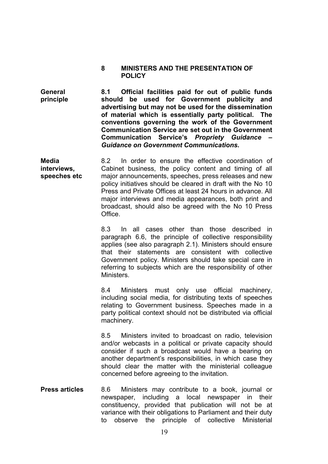#### **8 MINISTERS AND THE PRESENTATION OF POLICY**

<span id="page-23-0"></span> **8.1 Official facilities paid for out of public funds should be used for Government publicity and advertising but may not be used for the dissemination of material which is essentially party political. The conventions governing the work of the Government Communication Service are set out in the Government**   *Guidance on Government Communications.*  **General principle Communication Service's** *Propriety Guidance* **–** 

8.2 Cabinet business, the policy content and timing of all major announcements, speeches, press releases and new policy initiatives should be cleared in draft with the No 10 Press and Private Offices at least 24 hours in advance. All major interviews and media appearances, both print and broadcast, should also be agreed with the No 10 Press **Media interviews, speeches etc**  In order to ensure the effective coordination of **Office** 

> 8.3 paragraph 6.6, the principle of collective responsibility applies (see also paragraph 2.1). Ministers should ensure that their statements are consistent with collective Government policy. Ministers should take special care in referring to subjects which are the responsibility of other Ministers. In all cases other than those described in

> Ministers.<br>8.4 Ministers must only use official machinery, including social media, for distributing texts of speeches relating to Government business. Speeches made in a party political context should not be distributed via official machinery.

> 8.5 Ministers invited to broadcast on radio, television and/or webcasts in a political or private capacity should consider if such a broadcast would have a bearing on another department's responsibilities, in which case they should clear the matter with the ministerial colleague concerned before agreeing to the invitation.

 8.6 Ministers may contribute to a book, journal or newspaper, including a local newspaper in their constituency, provided that publication will not be at variance with their obligations to Parliament and their duty to observe the principle of collective Ministerial **Press articles**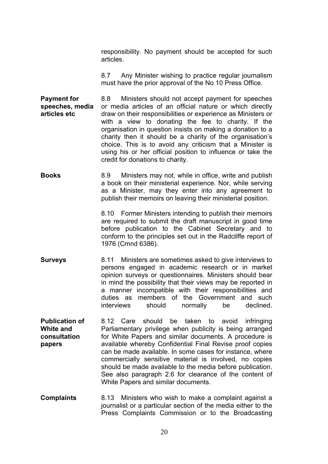responsibility. No payment should be accepted for such articles.

8.7 must have the prior approval of the No 10 Press Office. Any Minister wishing to practice regular journalism

<span id="page-24-0"></span> 8.8 Ministers should not accept payment for speeches or media articles of an official nature or which directly draw on their responsibilities or experience as Ministers or with a view to donating the fee to charity. If the organisation in question insists on making a donation to a charity then it should be a charity of the organisation's choice. This is to avoid any criticism that a Minister is using his or her official position to influence or take the **Payment for speeches, media articles etc**  credit for donations to charity.

 8.9 Ministers may not, while in office, write and publish a book on their ministerial experience. Nor, while serving as a Minister, may they enter into any agreement to publish their memoirs on leaving their ministerial position. **Books** 

> 8.10 Former Ministers intending to publish their memoirs are required to submit the draft manuscript in good time before publication to the Cabinet Secretary and to conform to the principles set out in the Radcliffe report of 1976 (Cmnd 6386).

- 8.11 Ministers are sometimes asked to give interviews to persons engaged in academic research or in market in mind the possibility that their views may be reported in a manner incompatible with their responsibilities and duties as members of the Government and such normally **Surveys**  opinion surveys or questionnaires. Ministers should bear interviews should normally be declined.
- **White and**  8.12 Care should Parliamentary privilege when publicity is being arranged available whereby Confidential Final Revise proof copies can be made available. In some cases for instance, where commercially sensitive material is involved, no copies should be made available to the media before publication. See also paragraph 2.6 for clearance of the content of **Publication of consultation papers**  be taken to avoid infringing for White Papers and similar documents. A procedure is White Papers and similar documents.
- 8.13 Ministers who wish to make a complaint against a journalist or a particular section of the media either to the Press Complaints Commission or to the Broadcasting **Complaints**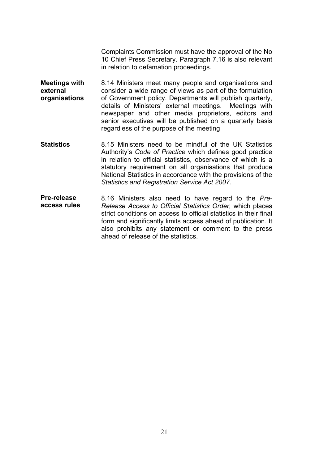Complaints Commission must have the approval of the No 10 Chief Press Secretary. Paragraph 7.16 is also relevant in relation to defamation proceedings.

- **Meetings with**  consider a wide range of views as part of the formulation of Government policy. Departments will publish quarterly, details of Ministers' external meetings. Meetings with senior executives will be published on a quarterly basis regardless of the purpose of the meeting **external organisations**  8.14 Ministers meet many people and organisations and newspaper and other media proprietors, editors and
- **Statistics**  8.15 Ministers need to be mindful of the UK Statistics  Authority's *Code of Practice* which defines good practice in relation to official statistics, observance of which is a statutory requirement on all organisations that produce National Statistics in accordance with the provisions of the  *Statistics and Registration Service Act 2007*. Statistics<br>Pre-release<br>Pre-release
- **access rules**  8.16 Ministers also need to have regard to the *Pre- Release Access to Official Statistics Order,* which places strict conditions on access to official statistics in their final form and significantly limits access ahead of publication. It also prohibits any statement or comment to the press ahead of release of the statistics.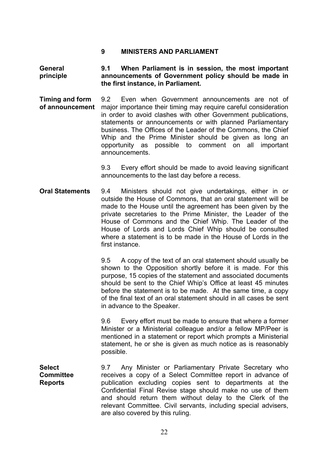#### **9 MINISTERS AND PARLIAMENT**

 **9.1 When Parliament is in session, the most important announcements of Government policy should be made in the first instance, in Parliament. General principle** 

 **Timing and form** major importance their timing may require careful consideration in order to avoid clashes with other Government publications, statements or announcements or with planned Parliamentary business. The Offices of the Leader of the Commons, the Chief Whip and the Prime Minister should be given as long an opportunity as possible to comment on all important **of announcement**  9.2 Even when Government announcements are not of announcements.

> 9.3 announcements to the last day before a recess. Every effort should be made to avoid leaving significant

 9.4 Ministers should not give undertakings, either in or outside the House of Commons, that an oral statement will be made to the House until the agreement has been given by the private secretaries to the Prime Minister, the Leader of the House of Commons and the Chief Whip. The Leader of the House of Lords and Lords Chief Whip should be consulted where a statement is to be made in the House of Lords in the **Oral Statements**  first instance.

> 95 shown to the Opposition shortly before it is made. For this purpose, 15 copies of the statement and associated documents should be sent to the Chief Whip's Office at least 45 minutes before the statement is to be made. At the same time, a copy of the final text of an oral statement should in all cases be sent in advance to the Speaker. 9.5 A copy of the text of an oral statement should usually be

> $9.6$  Minister or a Ministerial colleague and/or a fellow MP/Peer is mentioned in a statement or report which prompts a Ministerial statement, he or she is given as much notice as is reasonably Every effort must be made to ensure that where a former possible.

9.7 receives a copy of a Select Committee report in advance of publication excluding copies sent to departments at the Confidential Final Revise stage should make no use of them and should return them without delay to the Clerk of the relevant Committee. Civil servants, including special advisers, are also covered by this ruling. **Select Committee Reports**  Any Minister or Parliamentary Private Secretary who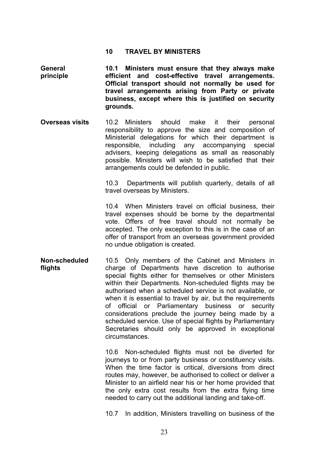#### **10 TRAVEL BY MINISTERS**

- **10.1 Ministers must ensure that they always make efficient and cost-effective travel arrangements. Official transport should not normally be used for travel arrangements arising from Party or private business, except where this is justified on security General principle grounds.**
- 10.2 Ministers should make it their personal responsibility to approve the size and composition of Ministerial delegations for which their department is responsible. advisers, keeping delegations as small as reasonably possible. Ministers will wish to be satisfied that their arrangements could be defended in public. **Overseas visits**  including any accompanying special

 $10.3$ Departments will publish quarterly, details of all travel overseas by Ministers.

 10.4 When Ministers travel on official business, their travel expenses should be borne by the departmental vote. Offers of free travel should not normally be accepted. The only exception to this is in the case of an offer of transport from an overseas government provided no undue obligation is created.

 10.5 Only members of the Cabinet and Ministers in charge of Departments have discretion to authorise within their Departments. Non-scheduled flights may be authorised when a scheduled service is not available, or when it is essential to travel by air, but the requirements of official or Parliamentary business or security considerations preclude the journey being made by a scheduled service. Use of special flights by Parliamentary Secretaries should only be approved in exceptional **Non-scheduled flights**  special flights either for themselves or other Ministers circumstances.

> 10.6 Non-scheduled flights must not be diverted for journeys to or from party business or constituency visits. When the time factor is critical, diversions from direct routes may, however, be authorised to collect or deliver a Minister to an airfield near his or her home provided that the only extra cost results from the extra flying time needed to carry out the additional landing and take-off.

> 10.7 In addition, Ministers travelling on business of the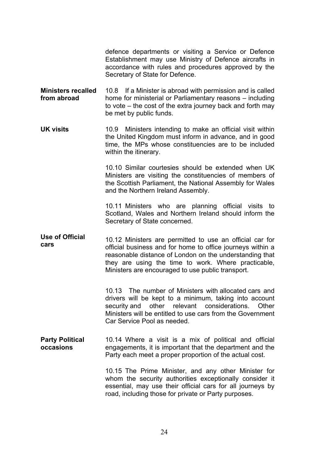defence departments or visiting a Service or Defence Establishment may use Ministry of Defence aircrafts in accordance with rules and procedures approved by the Secretary of State for Defence.

- **Ministers recalled**  home for ministerial or Parliamentary reasons – including to vote – the cost of the extra journey back and forth may be met by public funds. **from abroad**  10.8 If a Minister is abroad with permission and is called
- 10.9 Ministers intending to make an official visit within the United Kingdom must inform in advance, and in good time, the MPs whose constituencies are to be included within the itinerary. **UK visits**

 10.10 Similar courtesies should be extended when UK Ministers are visiting the constituencies of members of the Scottish Parliament, the National Assembly for Wales and the Northern Ireland Assembly.

 10.11 Ministers who are planning official visits to Scotland, Wales and Northern Ireland should inform the Secretary of State concerned.

 **Use of Official**  official business and for home to office journeys within a reasonable distance of London on the understanding that they are using the time to work. Where practicable, Ministers are encouraged to use public transport. **cars**  10.12 Ministers are permitted to use an official car for

> 10.13 The number of Ministers with allocated cars and drivers will be kept to a minimum, taking into account security and other relevant considerations. Other Ministers will be entitled to use cars from the Government Car Service Pool as needed.

 **Party Political**  engagements, it is important that the department and the Party each meet a proper proportion of the actual cost. **occasions**  10.14 Where a visit is a mix of political and official

> 10.15 The Prime Minister, and any other Minister for essential, may use their official cars for all journeys by road, including those for private or Party purposes. whom the security authorities exceptionally consider it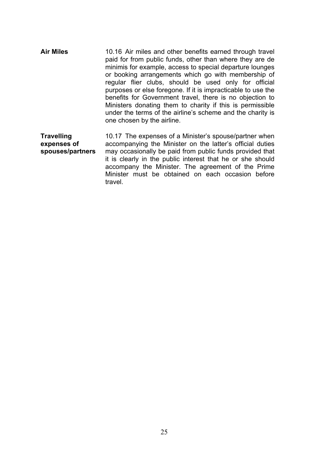**Air Miles 10.16 Air miles and other benefits earned through travel**  paid for from public funds, other than where they are de minimis for example, access to special departure lounges or booking arrangements which go with membership of regular flier clubs, should be used only for official purposes or else foregone. If it is impracticable to use the benefits for Government travel, there is no objection to Ministers donating them to charity if this is permissible under the terms of the airline's scheme and the charity is one chosen by the airline.

**Travelling** 10.17 The expenses of a Minister's spouse/partner when **expenses of** accompanying the Minister on the latter's official duties **spouses/partners** may occasionally be paid from public funds provided that it is clearly in the public interest that he or she should accompany the Minister. The agreement of the Prime Minister must be obtained on each occasion before travel.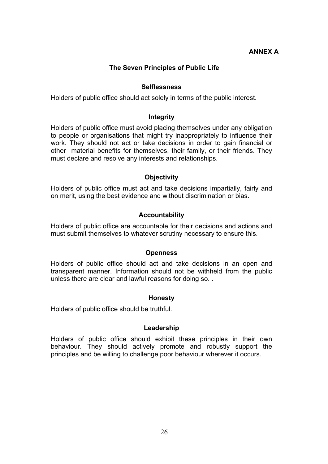## **The Seven Principles of Public Life**

#### **Selflessness**

Holders of public office should act solely in terms of the public interest.

#### **Integrity**

 Holders of public office must avoid placing themselves under any obligation to people or organisations that might try inappropriately to influence their work. They should not act or take decisions in order to gain financial or other material benefits for themselves, their family, or their friends. They must declare and resolve any interests and relationships.

#### **Objectivity**

 Holders of public office must act and take decisions impartially, fairly and on merit, using the best evidence and without discrimination or bias.

#### **Accountability**

 Holders of public office are accountable for their decisions and actions and must submit themselves to whatever scrutiny necessary to ensure this.

#### **Openness**

 Holders of public office should act and take decisions in an open and transparent manner. Information should not be withheld from the public unless there are clear and lawful reasons for doing so. .

#### **Honesty**

Holders of public office should be truthful.

#### **Leadership**

 Holders of public office should exhibit these principles in their own behaviour. They should actively promote and robustly support the principles and be willing to challenge poor behaviour wherever it occurs.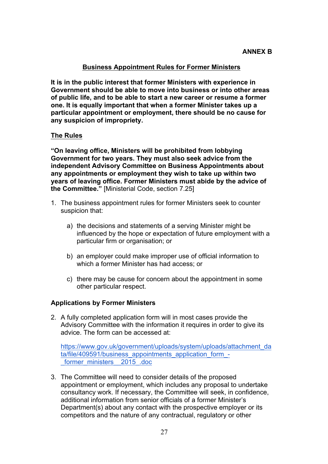### **Business Appointment Rules for Former Ministers**

 **It is in the public interest that former Ministers with experience in Government should be able to move into business or into other areas of public life, and to be able to start a new career or resume a former one. It is equally important that when a former Minister takes up a particular appointment or employment, there should be no cause for any suspicion of impropriety.** 

#### **The Rules**

 **"On leaving office, Ministers will be prohibited from lobbying Government for two years. They must also seek advice from the independent Advisory Committee on Business Appointments about any appointments or employment they wish to take up within two years of leaving office. Former Ministers must abide by the advice of the Committee."** [Ministerial Code, section 7.25]

- 1. The business appointment rules for former Ministers seek to counter suspicion that:
	- a) the decisions and statements of a serving Minister might be influenced by the hope or expectation of future employment with a particular firm or organisation; or
	- b) an employer could make improper use of official information to which a former Minister has had access; or
	- c) there may be cause for concern about the appointment in some other particular respect.

#### **Applications by Former Ministers**

 2. A fully completed application form will in most cases provide the Advisory Committee with the information it requires in order to give its advice. The form can be accessed at:

[https://www.gov.uk/government/uploads/system/uploads/attachment\\_d](https://www.gov.uk/government/uploads/system/uploads/attachment_data/file/409591/business_appointments_application_form_-_former_ministers__2015_.doc)a [ta/file/409591/business\\_appointments\\_application\\_form\\_](https://www.gov.uk/government/uploads/system/uploads/attachment_data/file/409591/business_appointments_application_form_-_former_ministers__2015_.doc)-[\\_former\\_ministers\\_\\_2015\\_.doc](https://www.gov.uk/government/uploads/system/uploads/attachment_data/file/409591/business_appointments_application_form_-_former_ministers__2015_.doc)

 3. The Committee will need to consider details of the proposed appointment or employment, which includes any proposal to undertake consultancy work. If necessary, the Committee will seek, in confidence, additional information from senior officials of a former Minister's Department(s) about any contact with the prospective employer or its competitors and the nature of any contractual, regulatory or other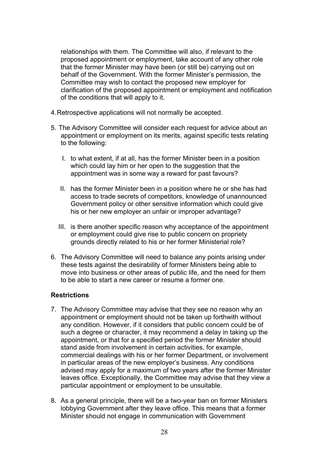relationships with them. The Committee will also, if relevant to the proposed appointment or employment, take account of any other role that the former Minister may have been (or still be) carrying out on behalf of the Government. With the former Minister's permission, the Committee may wish to contact the proposed new employer for clarification of the proposed appointment or employment and notification of the conditions that will apply to it.

- 4.Retrospective applications will not normally be accepted.
- 5. The Advisory Committee will consider each request for advice about an appointment or employment on its merits, against specific tests relating to the following:
	- I. to what extent, if at all, has the former Minister been in a position which could lay him or her open to the suggestion that the appointment was in some way a reward for past favours?
	- II. has the former Minister been in a position where he or she has had access to trade secrets of competitors, knowledge of unannounced Government policy or other sensitive information which could give his or her new employer an unfair or improper advantage?
	- his or her new employer an unfair or improper advantage?<br>III. is there another specific reason why acceptance of the appointment or employment could give rise to public concern on propriety grounds directly related to his or her former Ministerial role?
- 6. The Advisory Committee will need to balance any points arising under these tests against the desirability of former Ministers being able to move into business or other areas of public life, and the need for them to be able to start a new career or resume a former one.

## **Restrictions**

- 7. The Advisory Committee may advise that they see no reason why an appointment or employment should not be taken up forthwith without any condition. However, if it considers that public concern could be of such a degree or character, it may recommend a delay in taking up the appointment, or that for a specified period the former Minister should stand aside from involvement in certain activities, for example, in particular areas of the new employer's business. Any conditions advised may apply for a maximum of two years after the former Minister leaves office. Exceptionally, the Committee may advise that they view a particular appointment or employment to be unsuitable. commercial dealings with his or her former Department, or involvement
- 8. As a general principle, there will be a two-year ban on former Ministers lobbying Government after they leave office. This means that a former Minister should not engage in communication with Government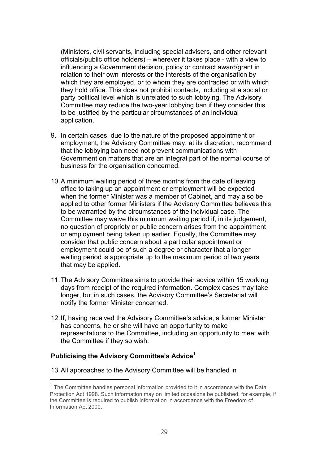(Ministers, civil servants, including special advisers, and other relevant officials/public office holders) – wherever it takes place - with a view to influencing a Government decision, policy or contract award/grant in relation to their own interests or the interests of the organisation by which they are employed, or to whom they are contracted or with which they hold office. This does not prohibit contacts, including at a social or party political level which is unrelated to such lobbying. The Advisory Committee may reduce the two-year lobbying ban if they consider this to be justified by the particular circumstances of an individual application.

- 9. In certain cases, due to the nature of the proposed appointment or employment, the Advisory Committee may, at its discretion, recommend that the lobbying ban need not prevent communications with Government on matters that are an integral part of the normal course of business for the organisation concerned.
- 10.A minimum waiting period of three months from the date of leaving office to taking up an appointment or employment will be expected when the former Minister was a member of Cabinet, and may also be applied to other former Ministers if the Advisory Committee believes this to be warranted by the circumstances of the individual case. The Committee may waive this minimum waiting period if, in its judgement, no question of propriety or public concern arises from the appointment or employment being taken up earlier. Equally, the Committee may consider that public concern about a particular appointment or employment could be of such a degree or character that a longer waiting period is appropriate up to the maximum period of two years that may be applied.
- 11.The Advisory Committee aims to provide their advice within 15 working days from receipt of the required information. Complex cases may take longer, but in such cases, the Advisory Committee's Secretariat will notify the former Minister concerned.
- 12.If, having received the Advisory Committee's advice, a former Minister has concerns, he or she will have an opportunity to make representations to the Committee, including an opportunity to meet with the Committee if they so wish.

## **Publicising the Advisory Committee's Advice1**

l

#### 13.All approaches to the Advisory Committee will be handled in

 $<sup>1</sup>$  The Committee handles personal information provided to it in accordance with the Data</sup> Protection Act 1998. Such information may on limited occasions be published, for example, if the Committee is required to publish information in accordance with the Freedom of Information Act 2000.